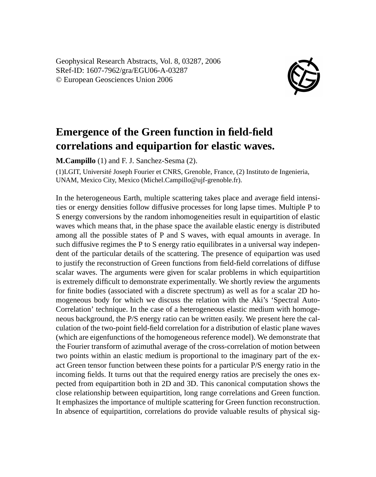Geophysical Research Abstracts, Vol. 8, 03287, 2006 SRef-ID: 1607-7962/gra/EGU06-A-03287 © European Geosciences Union 2006



## **Emergence of the Green function in field-field correlations and equipartion for elastic waves.**

**M.Campillo** (1) and F. J. Sanchez-Sesma (2).

(1)LGIT, Université Joseph Fourier et CNRS, Grenoble, France, (2) Instituto de Ingenieria, UNAM, Mexico City, Mexico (Michel.Campillo@ujf-grenoble.fr).

In the heterogeneous Earth, multiple scattering takes place and average field intensities or energy densities follow diffusive processes for long lapse times. Multiple P to S energy conversions by the random inhomogeneities result in equipartition of elastic waves which means that, in the phase space the available elastic energy is distributed among all the possible states of P and S waves, with equal amounts in average. In such diffusive regimes the P to S energy ratio equilibrates in a universal way independent of the particular details of the scattering. The presence of equipartion was used to justify the reconstruction of Green functions from field-field correlations of diffuse scalar waves. The arguments were given for scalar problems in which equipartition is extremely difficult to demonstrate experimentally. We shortly review the arguments for finite bodies (associated with a discrete spectrum) as well as for a scalar 2D homogeneous body for which we discuss the relation with the Aki's 'Spectral Auto-Correlation' technique. In the case of a heterogeneous elastic medium with homogeneous background, the P/S energy ratio can be written easily. We present here the calculation of the two-point field-field correlation for a distribution of elastic plane waves (which are eigenfunctions of the homogeneous reference model). We demonstrate that the Fourier transform of azimuthal average of the cross-correlation of motion between two points within an elastic medium is proportional to the imaginary part of the exact Green tensor function between these points for a particular P/S energy ratio in the incoming fields. It turns out that the required energy ratios are precisely the ones expected from equipartition both in 2D and 3D. This canonical computation shows the close relationship between equipartition, long range correlations and Green function. It emphasizes the importance of multiple scattering for Green function reconstruction. In absence of equipartition, correlations do provide valuable results of physical sig